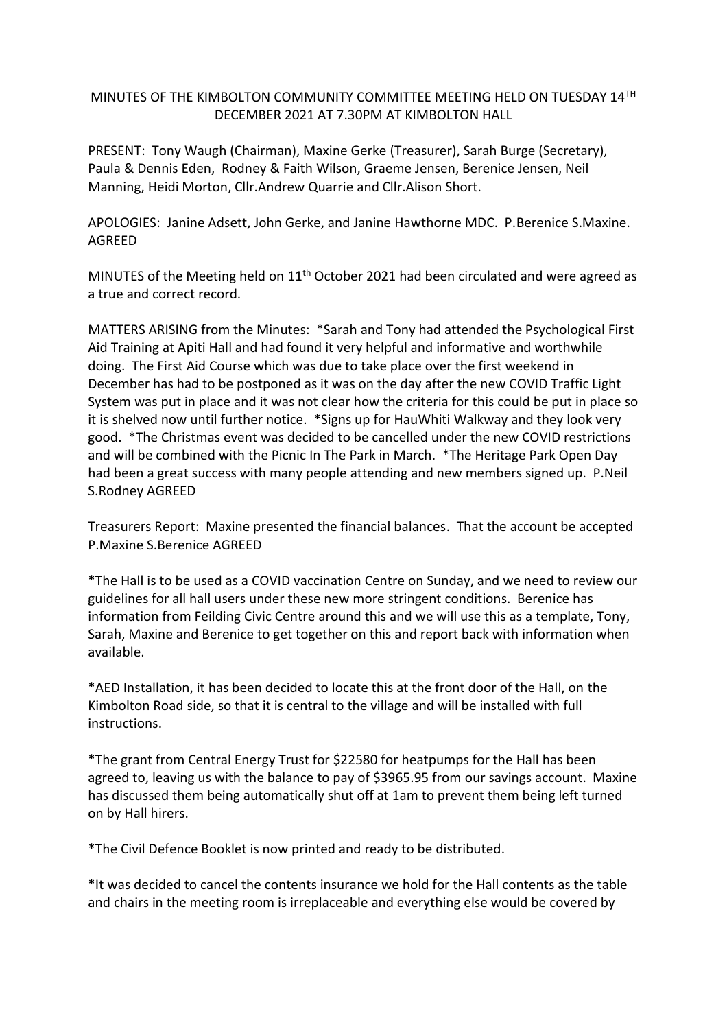## MINUTES OF THE KIMBOLTON COMMUNITY COMMITTEE MEETING HELD ON TUESDAY 14TH DECEMBER 2021 AT 7.30PM AT KIMBOLTON HALL

PRESENT: Tony Waugh (Chairman), Maxine Gerke (Treasurer), Sarah Burge (Secretary), Paula & Dennis Eden, Rodney & Faith Wilson, Graeme Jensen, Berenice Jensen, Neil Manning, Heidi Morton, Cllr.Andrew Quarrie and Cllr.Alison Short.

APOLOGIES: Janine Adsett, John Gerke, and Janine Hawthorne MDC. P.Berenice S.Maxine. AGREED

MINUTES of the Meeting held on 11<sup>th</sup> October 2021 had been circulated and were agreed as a true and correct record.

MATTERS ARISING from the Minutes: \*Sarah and Tony had attended the Psychological First Aid Training at Apiti Hall and had found it very helpful and informative and worthwhile doing. The First Aid Course which was due to take place over the first weekend in December has had to be postponed as it was on the day after the new COVID Traffic Light System was put in place and it was not clear how the criteria for this could be put in place so it is shelved now until further notice. \*Signs up for HauWhiti Walkway and they look very good. \*The Christmas event was decided to be cancelled under the new COVID restrictions and will be combined with the Picnic In The Park in March. \*The Heritage Park Open Day had been a great success with many people attending and new members signed up. P.Neil S.Rodney AGREED

Treasurers Report: Maxine presented the financial balances. That the account be accepted P.Maxine S.Berenice AGREED

\*The Hall is to be used as a COVID vaccination Centre on Sunday, and we need to review our guidelines for all hall users under these new more stringent conditions. Berenice has information from Feilding Civic Centre around this and we will use this as a template, Tony, Sarah, Maxine and Berenice to get together on this and report back with information when available.

\*AED Installation, it has been decided to locate this at the front door of the Hall, on the Kimbolton Road side, so that it is central to the village and will be installed with full instructions.

\*The grant from Central Energy Trust for \$22580 for heatpumps for the Hall has been agreed to, leaving us with the balance to pay of \$3965.95 from our savings account. Maxine has discussed them being automatically shut off at 1am to prevent them being left turned on by Hall hirers.

\*The Civil Defence Booklet is now printed and ready to be distributed.

\*It was decided to cancel the contents insurance we hold for the Hall contents as the table and chairs in the meeting room is irreplaceable and everything else would be covered by